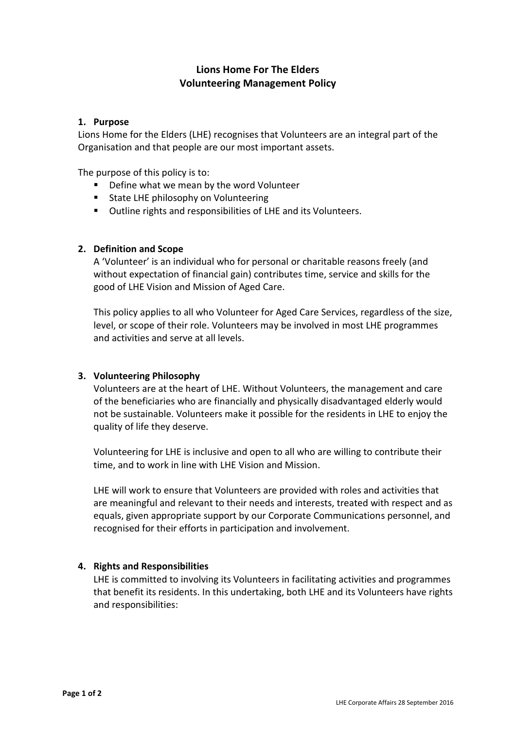# **Lions Home For The Elders Volunteering Management Policy**

## **1. Purpose**

Lions Home for the Elders (LHE) recognises that Volunteers are an integral part of the Organisation and that people are our most important assets.

The purpose of this policy is to:

- Define what we mean by the word Volunteer
- **State LHE philosophy on Volunteering**
- Outline rights and responsibilities of LHE and its Volunteers.

## **2. Definition and Scope**

A 'Volunteer' is an individual who for personal or charitable reasons freely (and without expectation of financial gain) contributes time, service and skills for the good of LHE Vision and Mission of Aged Care.

This policy applies to all who Volunteer for Aged Care Services, regardless of the size, level, or scope of their role. Volunteers may be involved in most LHE programmes and activities and serve at all levels.

### **3. Volunteering Philosophy**

Volunteers are at the heart of LHE. Without Volunteers, the management and care of the beneficiaries who are financially and physically disadvantaged elderly would not be sustainable. Volunteers make it possible for the residents in LHE to enjoy the quality of life they deserve.

Volunteering for LHE is inclusive and open to all who are willing to contribute their time, and to work in line with LHE Vision and Mission.

LHE will work to ensure that Volunteers are provided with roles and activities that are meaningful and relevant to their needs and interests, treated with respect and as equals, given appropriate support by our Corporate Communications personnel, and recognised for their efforts in participation and involvement.

### **4. Rights and Responsibilities**

LHE is committed to involving its Volunteers in facilitating activities and programmes that benefit its residents. In this undertaking, both LHE and its Volunteers have rights and responsibilities: